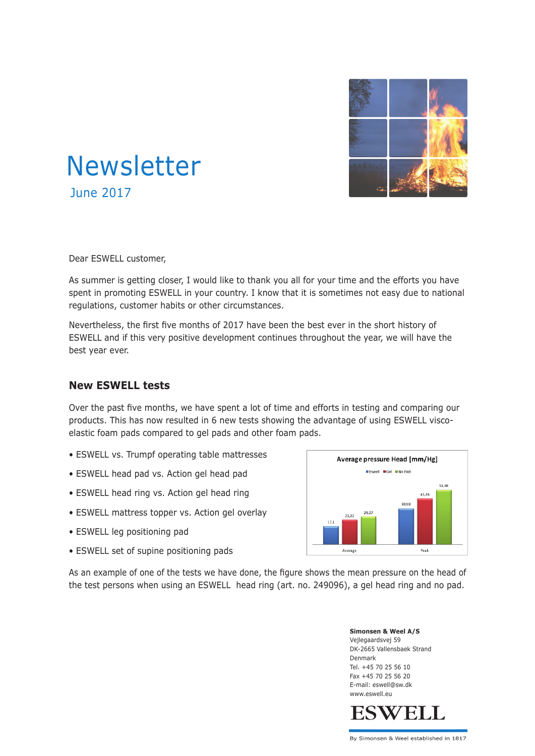

# Newsletter June 2017

Dear ESWELL customer,

As summer is getting closer, I would like to thank you all for your time and the efforts you have spent in promoting ESWELL in your country. I know that it is sometimes not easy due to national regulations, customer habits or other circumstances.

Nevertheless, the first five months of 2017 have been the best ever in the short history of ESWELL and if this very positive development continues throughout the year, we will have the best year ever.

#### **New ESWELL tests**

Over the past five months, we have spent a lot of time and efforts in testing and comparing our products. This has now resulted in 6 new tests showing the advantage of using ESWELL viscoelastic foam pads compared to gel pads and other foam pads.

- ESWELL vs. Trumpf operating table mattresses
- ESWELL head pad vs. Action gel head pad
- ESWELL head ring vs. Action gel head ring
- ESWELL mattress topper vs. Action gel overlay
- ESWELL leg positioning pad
- ESWELL set of supine positioning pads



As an example of one of the tests we have done, the figure shows the mean pressure on the head of the test persons when using an ESWELL head ring (art. no. 249096), a gel head ring and no pad.

> **Simonsen & Weel A/S** Vejlegaardsvej 59 DK-2665 Vallensbaek Strand Denmark Tel. +45 70 25 56 10 Fax +45 70 25 56 20 E-mail: eswell@sw.dk www.eswell.eu



By Simonsen & Weel established in 1817